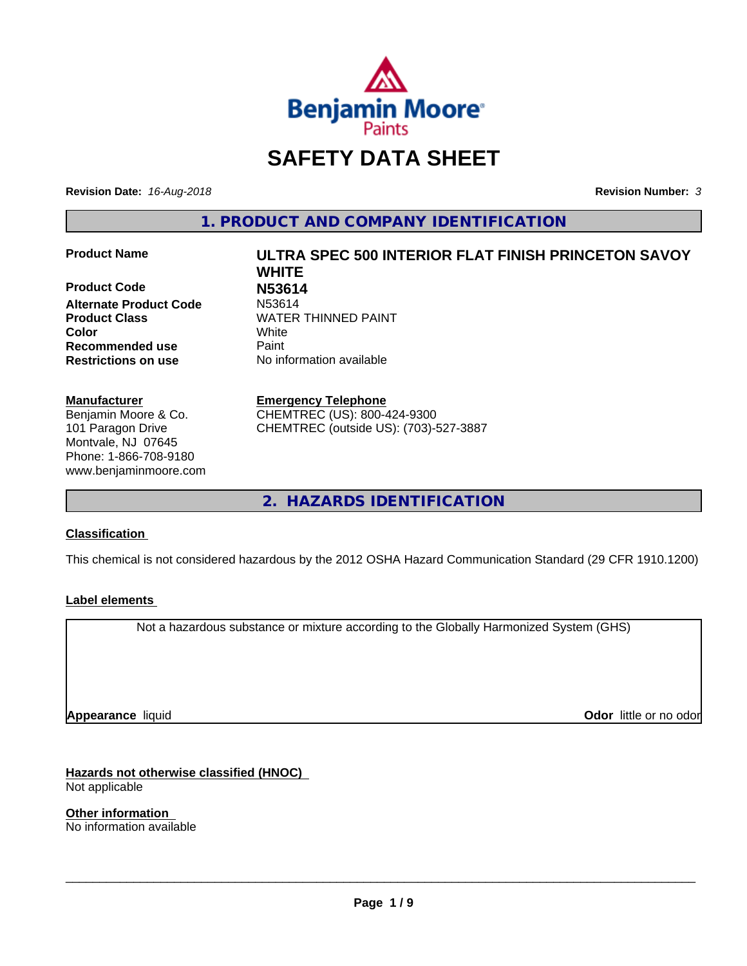

# **SAFETY DATA SHEET**

**Revision Date:** *16-Aug-2018* **Revision Number:** *3*

**1. PRODUCT AND COMPANY IDENTIFICATION**

**Product Code N53614 Alternate Product Code Recommended use Caint Restrictions on use** No information available

#### **Manufacturer**

Benjamin Moore & Co. 101 Paragon Drive Montvale, NJ 07645 Phone: 1-866-708-9180 www.benjaminmoore.com

# **Product Name ULTRA SPEC 500 INTERIOR FLAT FINISH PRINCETON SAVOY WHITE Product Class WATER THINNED PAINT Color** White

#### **Emergency Telephone**

CHEMTREC (US): 800-424-9300 CHEMTREC (outside US): (703)-527-3887

**2. HAZARDS IDENTIFICATION**

#### **Classification**

This chemical is not considered hazardous by the 2012 OSHA Hazard Communication Standard (29 CFR 1910.1200)

#### **Label elements**

Not a hazardous substance or mixture according to the Globally Harmonized System (GHS)

**Appearance** liquid

**Odor** little or no odor

**Hazards not otherwise classified (HNOC)** Not applicable

**Other information** No information available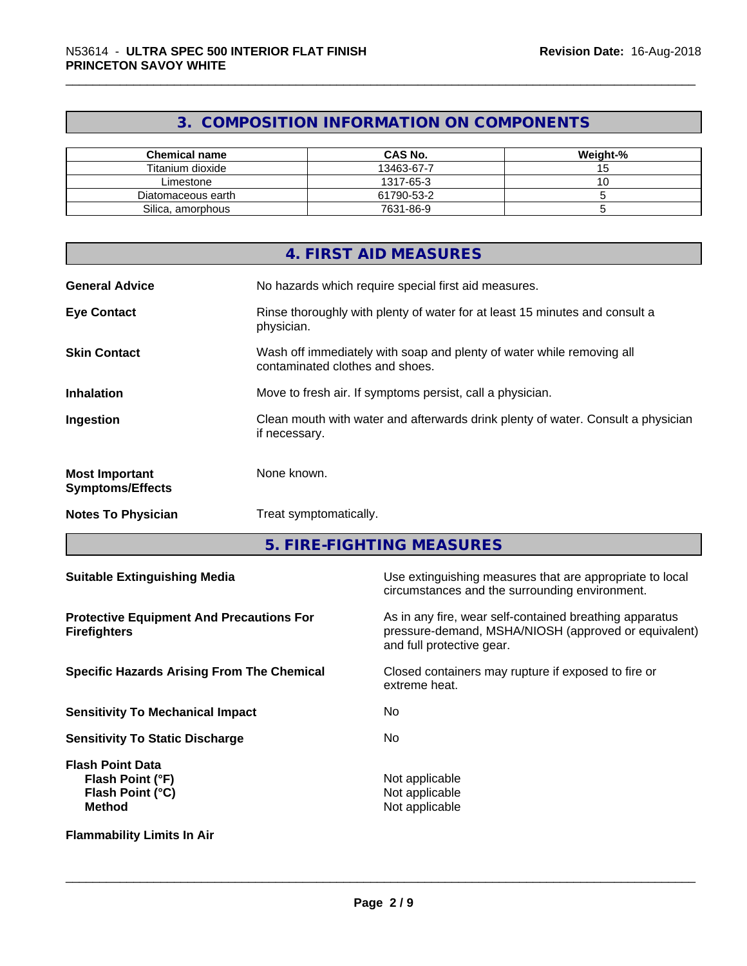# **3. COMPOSITION INFORMATION ON COMPONENTS**

| <b>Chemical name</b> | <b>CAS No.</b> | Weight-% |
|----------------------|----------------|----------|
| Titanium dioxide     | 13463-67-7     | ີ        |
| Limestone            | 1317-65-3      |          |
| Diatomaceous earth   | 61790-53-2     |          |
| Silica, amorphous    | 7631-86-9      |          |

|                                                  | 4. FIRST AID MEASURES                                                                                    |
|--------------------------------------------------|----------------------------------------------------------------------------------------------------------|
| <b>General Advice</b>                            | No hazards which require special first aid measures.                                                     |
| <b>Eye Contact</b>                               | Rinse thoroughly with plenty of water for at least 15 minutes and consult a<br>physician.                |
| <b>Skin Contact</b>                              | Wash off immediately with soap and plenty of water while removing all<br>contaminated clothes and shoes. |
| <b>Inhalation</b>                                | Move to fresh air. If symptoms persist, call a physician.                                                |
| Ingestion                                        | Clean mouth with water and afterwards drink plenty of water. Consult a physician<br>if necessary.        |
| <b>Most Important</b><br><b>Symptoms/Effects</b> | None known.                                                                                              |
| <b>Notes To Physician</b>                        | Treat symptomatically.                                                                                   |

**5. FIRE-FIGHTING MEASURES**

| <b>Suitable Extinguishing Media</b>                                              | Use extinguishing measures that are appropriate to local<br>circumstances and the surrounding environment.                                   |  |
|----------------------------------------------------------------------------------|----------------------------------------------------------------------------------------------------------------------------------------------|--|
| <b>Protective Equipment And Precautions For</b><br><b>Firefighters</b>           | As in any fire, wear self-contained breathing apparatus<br>pressure-demand, MSHA/NIOSH (approved or equivalent)<br>and full protective gear. |  |
| <b>Specific Hazards Arising From The Chemical</b>                                | Closed containers may rupture if exposed to fire or<br>extreme heat.                                                                         |  |
| <b>Sensitivity To Mechanical Impact</b>                                          | No.                                                                                                                                          |  |
| <b>Sensitivity To Static Discharge</b>                                           | No.                                                                                                                                          |  |
| <b>Flash Point Data</b><br>Flash Point (°F)<br>Flash Point (°C)<br><b>Method</b> | Not applicable<br>Not applicable<br>Not applicable                                                                                           |  |
| <b>Flammability Limits In Air</b>                                                |                                                                                                                                              |  |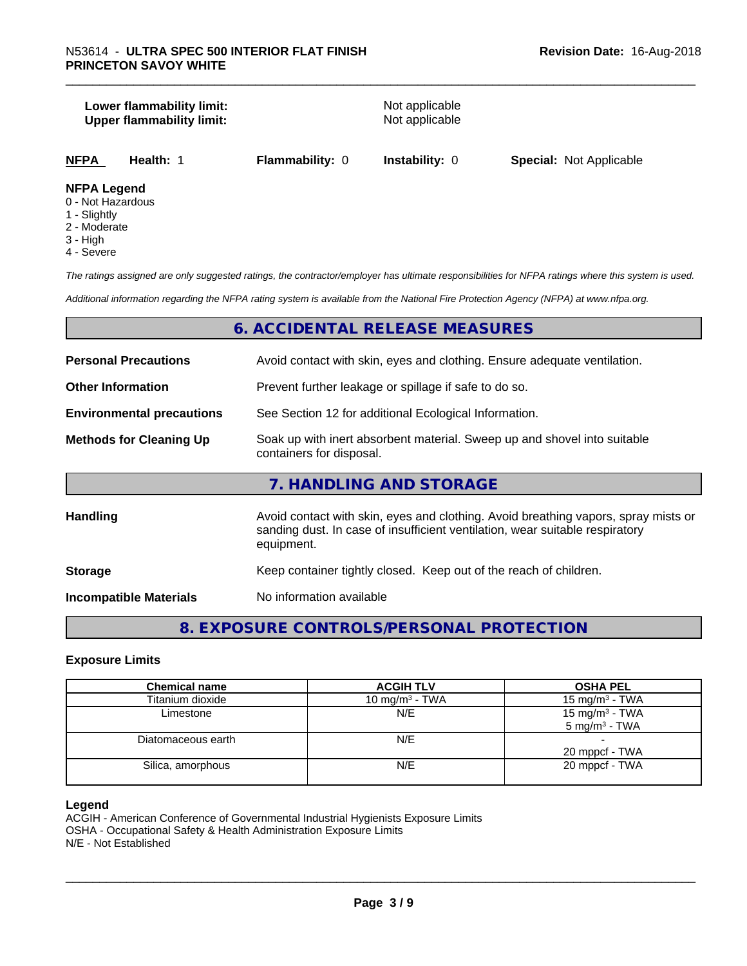#### **Lower flammability limit:**<br> **Upper flammability limit:**<br>
Upper flammability limit:<br>
Not applicable **Upper flammability limit:**

**NFPA Health:** 1 **Flammability:** 0 **Instability:** 0 **Special:** Not Applicable

#### **NFPA Legend**

- 0 Not Hazardous
- 1 Slightly
- 2 Moderate
- 3 High
- 4 Severe

*The ratings assigned are only suggested ratings, the contractor/employer has ultimate responsibilities for NFPA ratings where this system is used.*

*Additional information regarding the NFPA rating system is available from the National Fire Protection Agency (NFPA) at www.nfpa.org.*

### **6. ACCIDENTAL RELEASE MEASURES**

| <b>Personal Precautions</b>      | Avoid contact with skin, eyes and clothing. Ensure adequate ventilation.                                                                                                         |
|----------------------------------|----------------------------------------------------------------------------------------------------------------------------------------------------------------------------------|
| <b>Other Information</b>         | Prevent further leakage or spillage if safe to do so.                                                                                                                            |
| <b>Environmental precautions</b> | See Section 12 for additional Ecological Information.                                                                                                                            |
| <b>Methods for Cleaning Up</b>   | Soak up with inert absorbent material. Sweep up and shovel into suitable<br>containers for disposal.                                                                             |
|                                  | 7. HANDLING AND STORAGE                                                                                                                                                          |
| <b>Handling</b>                  | Avoid contact with skin, eyes and clothing. Avoid breathing vapors, spray mists or<br>sanding dust. In case of insufficient ventilation, wear suitable respiratory<br>equipment. |
| <b>Storage</b>                   | Keep container tightly closed. Keep out of the reach of children.                                                                                                                |
| <b>Incompatible Materials</b>    | No information available                                                                                                                                                         |

# **8. EXPOSURE CONTROLS/PERSONAL PROTECTION**

#### **Exposure Limits**

| <b>Chemical name</b> | <b>ACGIH TLV</b>           | <b>OSHA PEL</b>            |
|----------------------|----------------------------|----------------------------|
| Titanium dioxide     | 10 mg/m <sup>3</sup> - TWA | 15 mg/m <sup>3</sup> - TWA |
| Limestone            | N/E                        | 15 mg/m $3$ - TWA          |
|                      |                            | $5 \text{ mg/m}^3$ - TWA   |
| Diatomaceous earth   | N/E                        |                            |
|                      |                            | 20 mppcf - TWA             |
| Silica, amorphous    | N/E                        | 20 mppcf - TWA             |
|                      |                            |                            |

#### **Legend**

ACGIH - American Conference of Governmental Industrial Hygienists Exposure Limits OSHA - Occupational Safety & Health Administration Exposure Limits N/E - Not Established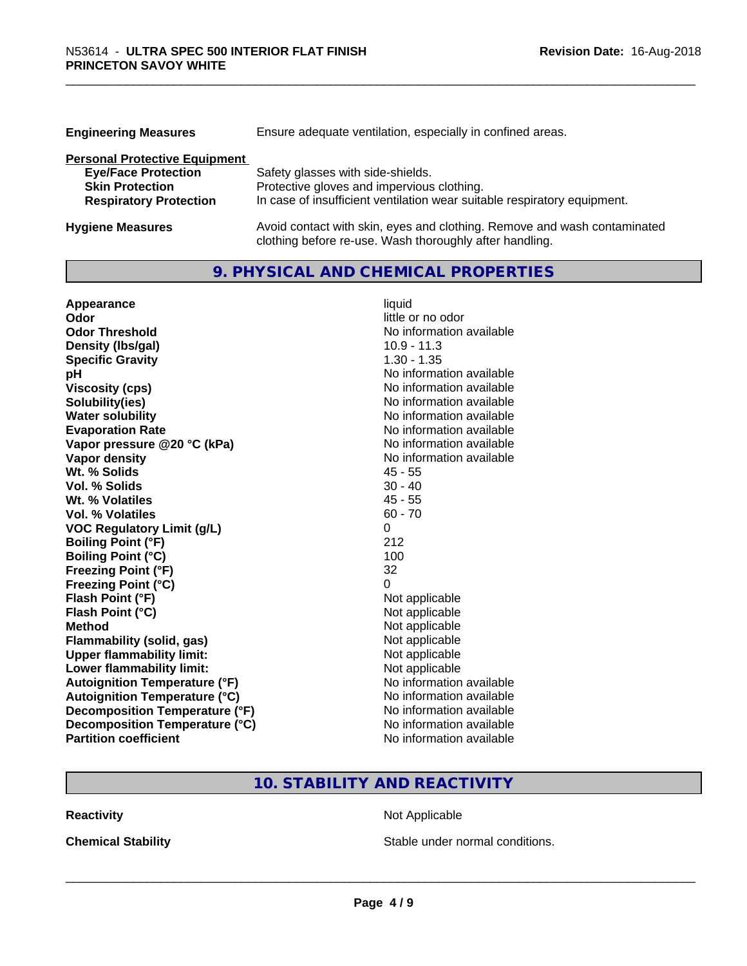| <b>Engineering Measures</b>          | Ensure adequate ventilation, especially in confined areas.               |  |  |
|--------------------------------------|--------------------------------------------------------------------------|--|--|
| <b>Personal Protective Equipment</b> |                                                                          |  |  |
| <b>Eye/Face Protection</b>           | Safety glasses with side-shields.                                        |  |  |
| <b>Skin Protection</b>               | Protective gloves and impervious clothing.                               |  |  |
| <b>Respiratory Protection</b>        | In case of insufficient ventilation wear suitable respiratory equipment. |  |  |
| <b>Hygiene Measures</b>              | Avoid contact with skin, eyes and clothing. Remove and wash contaminated |  |  |

clothing before re-use. Wash thoroughly after handling.

## **9. PHYSICAL AND CHEMICAL PROPERTIES**

| Appearance                           | liquid                   |
|--------------------------------------|--------------------------|
| Odor                                 | little or no odor        |
| <b>Odor Threshold</b>                | No information available |
| Density (Ibs/gal)                    | $10.9 - 11.3$            |
| <b>Specific Gravity</b>              | $1.30 - 1.35$            |
| рH                                   | No information available |
| <b>Viscosity (cps)</b>               | No information available |
| Solubility(ies)                      | No information available |
| <b>Water solubility</b>              | No information available |
| <b>Evaporation Rate</b>              | No information available |
| Vapor pressure @20 °C (kPa)          | No information available |
| Vapor density                        | No information available |
| Wt. % Solids                         | $45 - 55$                |
| Vol. % Solids                        | $30 - 40$                |
| Wt. % Volatiles                      | $45 - 55$                |
| Vol. % Volatiles                     | $60 - 70$                |
| <b>VOC Regulatory Limit (g/L)</b>    | 0                        |
| <b>Boiling Point (°F)</b>            | 212                      |
| <b>Boiling Point (°C)</b>            | 100                      |
| <b>Freezing Point (°F)</b>           | 32                       |
| <b>Freezing Point (°C)</b>           | 0                        |
| Flash Point (°F)                     | Not applicable           |
| Flash Point (°C)                     | Not applicable           |
| <b>Method</b>                        | Not applicable           |
| <b>Flammability (solid, gas)</b>     | Not applicable           |
| <b>Upper flammability limit:</b>     | Not applicable           |
| Lower flammability limit:            | Not applicable           |
| <b>Autoignition Temperature (°F)</b> | No information available |
| <b>Autoignition Temperature (°C)</b> | No information available |
| Decomposition Temperature (°F)       | No information available |
| Decomposition Temperature (°C)       | No information available |
| <b>Partition coefficient</b>         | No information available |

# **10. STABILITY AND REACTIVITY**

**Reactivity Not Applicable** Not Applicable

**Chemical Stability Chemical Stability** Stable under normal conditions.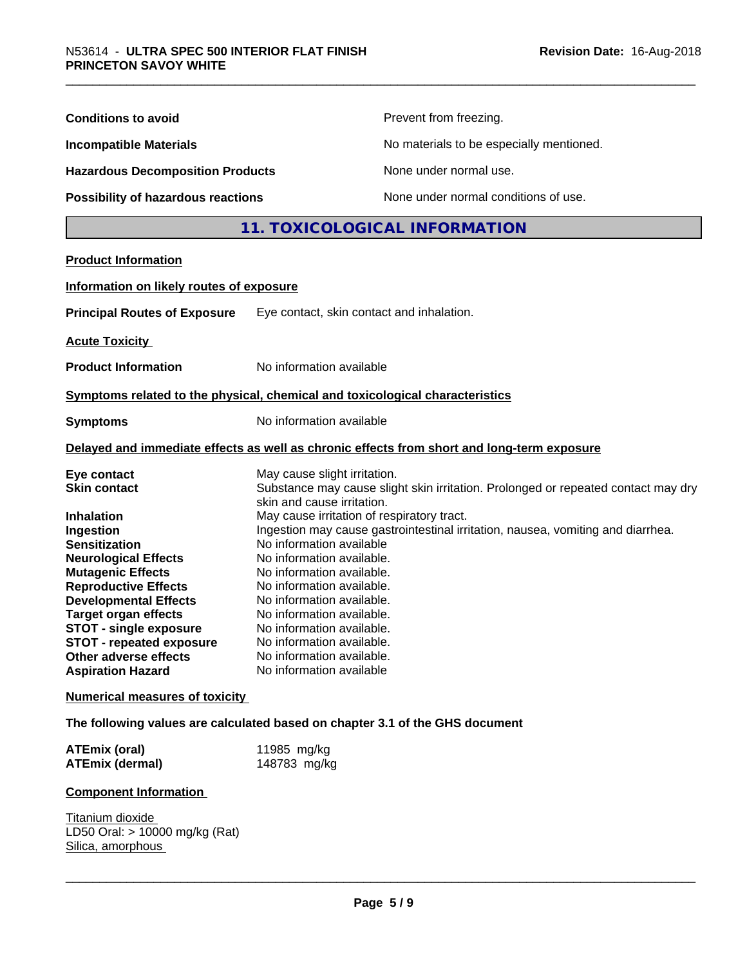| <b>Conditions to avoid</b>                                                                                                                                                                                                                                                                                                                                                                                              |                                                                                                                                                                                                                                                                                                                                                                                                          | Prevent from freezing.                                                                                                                                               |  |
|-------------------------------------------------------------------------------------------------------------------------------------------------------------------------------------------------------------------------------------------------------------------------------------------------------------------------------------------------------------------------------------------------------------------------|----------------------------------------------------------------------------------------------------------------------------------------------------------------------------------------------------------------------------------------------------------------------------------------------------------------------------------------------------------------------------------------------------------|----------------------------------------------------------------------------------------------------------------------------------------------------------------------|--|
| <b>Incompatible Materials</b><br><b>Hazardous Decomposition Products</b>                                                                                                                                                                                                                                                                                                                                                |                                                                                                                                                                                                                                                                                                                                                                                                          | No materials to be especially mentioned.                                                                                                                             |  |
|                                                                                                                                                                                                                                                                                                                                                                                                                         |                                                                                                                                                                                                                                                                                                                                                                                                          | None under normal use.                                                                                                                                               |  |
| Possibility of hazardous reactions                                                                                                                                                                                                                                                                                                                                                                                      |                                                                                                                                                                                                                                                                                                                                                                                                          | None under normal conditions of use.                                                                                                                                 |  |
|                                                                                                                                                                                                                                                                                                                                                                                                                         |                                                                                                                                                                                                                                                                                                                                                                                                          | 11. TOXICOLOGICAL INFORMATION                                                                                                                                        |  |
| <b>Product Information</b>                                                                                                                                                                                                                                                                                                                                                                                              |                                                                                                                                                                                                                                                                                                                                                                                                          |                                                                                                                                                                      |  |
| Information on likely routes of exposure                                                                                                                                                                                                                                                                                                                                                                                |                                                                                                                                                                                                                                                                                                                                                                                                          |                                                                                                                                                                      |  |
|                                                                                                                                                                                                                                                                                                                                                                                                                         |                                                                                                                                                                                                                                                                                                                                                                                                          |                                                                                                                                                                      |  |
| <b>Principal Routes of Exposure</b>                                                                                                                                                                                                                                                                                                                                                                                     | Eye contact, skin contact and inhalation.                                                                                                                                                                                                                                                                                                                                                                |                                                                                                                                                                      |  |
| <b>Acute Toxicity</b>                                                                                                                                                                                                                                                                                                                                                                                                   |                                                                                                                                                                                                                                                                                                                                                                                                          |                                                                                                                                                                      |  |
| <b>Product Information</b>                                                                                                                                                                                                                                                                                                                                                                                              | No information available                                                                                                                                                                                                                                                                                                                                                                                 |                                                                                                                                                                      |  |
| Symptoms related to the physical, chemical and toxicological characteristics                                                                                                                                                                                                                                                                                                                                            |                                                                                                                                                                                                                                                                                                                                                                                                          |                                                                                                                                                                      |  |
| <b>Symptoms</b>                                                                                                                                                                                                                                                                                                                                                                                                         | No information available                                                                                                                                                                                                                                                                                                                                                                                 |                                                                                                                                                                      |  |
|                                                                                                                                                                                                                                                                                                                                                                                                                         |                                                                                                                                                                                                                                                                                                                                                                                                          | Delayed and immediate effects as well as chronic effects from short and long-term exposure                                                                           |  |
| Eye contact<br><b>Skin contact</b><br><b>Inhalation</b><br>Ingestion<br><b>Sensitization</b><br><b>Neurological Effects</b><br><b>Mutagenic Effects</b><br><b>Reproductive Effects</b><br><b>Developmental Effects</b><br><b>Target organ effects</b><br><b>STOT - single exposure</b><br><b>STOT - repeated exposure</b><br>Other adverse effects<br><b>Aspiration Hazard</b><br><b>Numerical measures of toxicity</b> | May cause slight irritation.<br>skin and cause irritation.<br>May cause irritation of respiratory tract.<br>No information available<br>No information available.<br>No information available.<br>No information available.<br>No information available.<br>No information available.<br>No information available.<br>No information available.<br>No information available.<br>No information available | Substance may cause slight skin irritation. Prolonged or repeated contact may dry<br>Ingestion may cause gastrointestinal irritation, nausea, vomiting and diarrhea. |  |
| The following values are calculated based on chapter 3.1 of the GHS document                                                                                                                                                                                                                                                                                                                                            |                                                                                                                                                                                                                                                                                                                                                                                                          |                                                                                                                                                                      |  |
| <b>ATEmix (oral)</b><br><b>ATEmix (dermal)</b>                                                                                                                                                                                                                                                                                                                                                                          | 11985 mg/kg<br>148783 mg/kg                                                                                                                                                                                                                                                                                                                                                                              |                                                                                                                                                                      |  |
| <b>Component Information</b>                                                                                                                                                                                                                                                                                                                                                                                            |                                                                                                                                                                                                                                                                                                                                                                                                          |                                                                                                                                                                      |  |
| Titanium dioxide<br>LD50 Oral: > 10000 mg/kg (Rat)<br>Silica, amorphous                                                                                                                                                                                                                                                                                                                                                 |                                                                                                                                                                                                                                                                                                                                                                                                          |                                                                                                                                                                      |  |
|                                                                                                                                                                                                                                                                                                                                                                                                                         |                                                                                                                                                                                                                                                                                                                                                                                                          |                                                                                                                                                                      |  |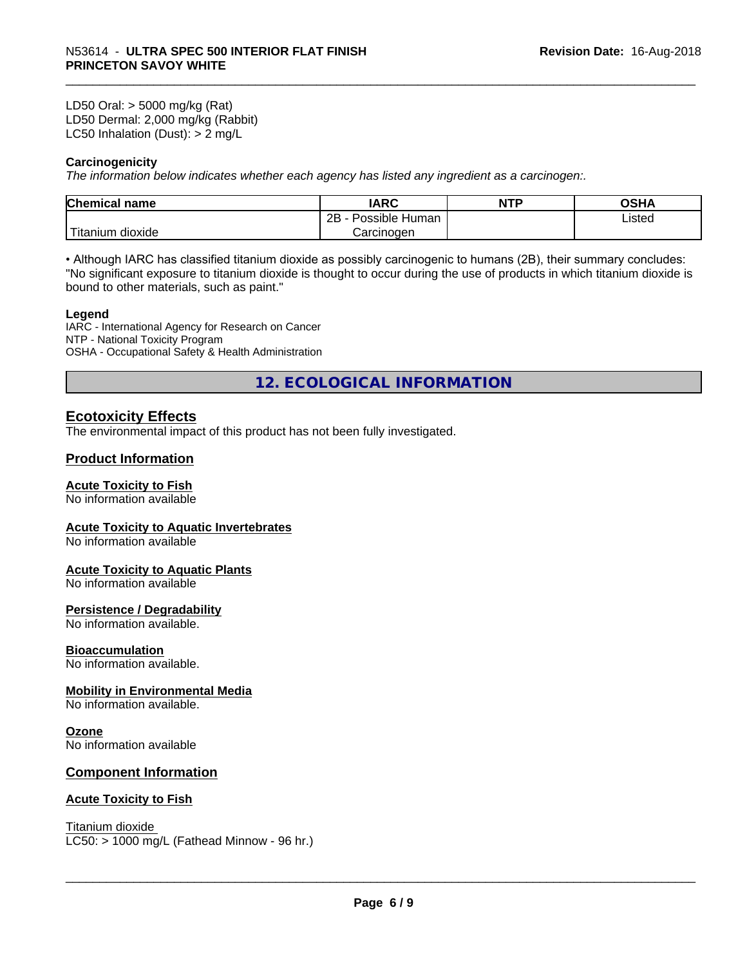LD50 Oral: > 5000 mg/kg (Rat) LD50 Dermal: 2,000 mg/kg (Rabbit) LC50 Inhalation (Dust): > 2 mg/L

#### **Carcinogenicity**

*The information below indicateswhether each agency has listed any ingredient as a carcinogen:.*

| <b>Chemical</b><br>name  | <b>IARC</b>                    | <b>NTP</b> | ດເ⊔∧<br>UJNA |
|--------------------------|--------------------------------|------------|--------------|
|                          | . .<br>2B<br>Human<br>Possible |            | Listed       |
| $-1$<br>Fitanium dioxide | Carcinoɑen                     |            |              |

• Although IARC has classified titanium dioxide as possibly carcinogenic to humans (2B), their summary concludes: "No significant exposure to titanium dioxide is thought to occur during the use of products in which titanium dioxide is bound to other materials, such as paint."

#### **Legend**

IARC - International Agency for Research on Cancer NTP - National Toxicity Program OSHA - Occupational Safety & Health Administration

**12. ECOLOGICAL INFORMATION**

#### **Ecotoxicity Effects**

The environmental impact of this product has not been fully investigated.

#### **Product Information**

#### **Acute Toxicity to Fish**

No information available

#### **Acute Toxicity to Aquatic Invertebrates**

No information available

#### **Acute Toxicity to Aquatic Plants**

No information available

#### **Persistence / Degradability**

No information available.

#### **Bioaccumulation**

No information available.

#### **Mobility in Environmental Media**

No information available.

#### **Ozone**

No information available

#### **Component Information**

#### **Acute Toxicity to Fish**

Titanium dioxide  $LC50:$  > 1000 mg/L (Fathead Minnow - 96 hr.)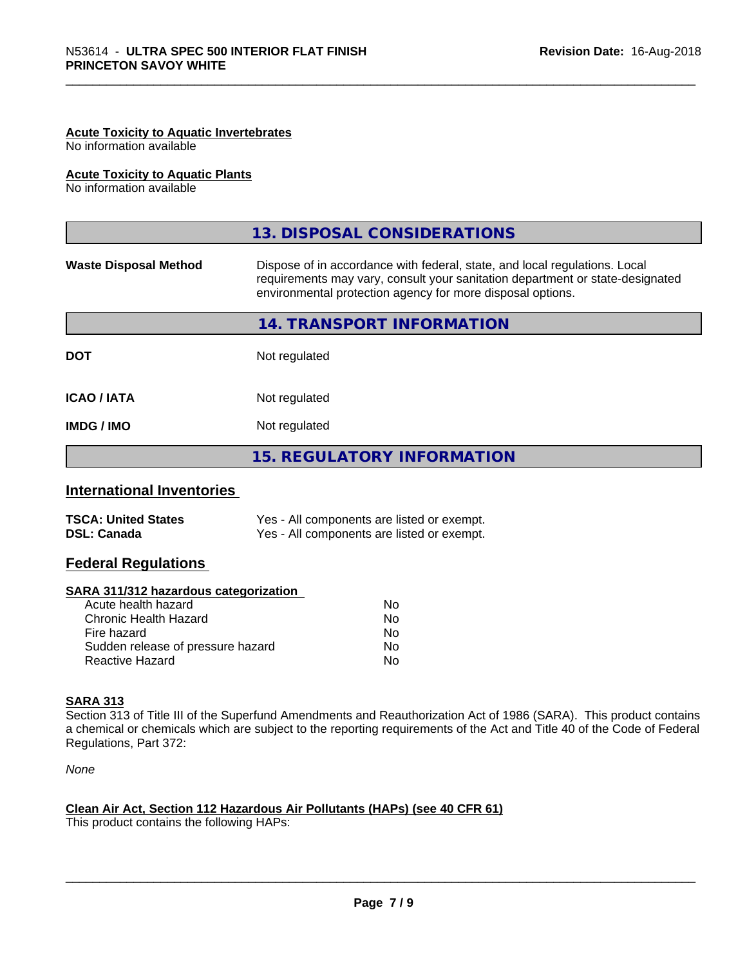#### **Acute Toxicity to Aquatic Invertebrates**

No information available

#### **Acute Toxicity to Aquatic Plants**

No information available

|                              | 13. DISPOSAL CONSIDERATIONS                                                                                                                                                                                               |
|------------------------------|---------------------------------------------------------------------------------------------------------------------------------------------------------------------------------------------------------------------------|
| <b>Waste Disposal Method</b> | Dispose of in accordance with federal, state, and local regulations. Local<br>requirements may vary, consult your sanitation department or state-designated<br>environmental protection agency for more disposal options. |
|                              | 14. TRANSPORT INFORMATION                                                                                                                                                                                                 |
| <b>DOT</b>                   | Not regulated                                                                                                                                                                                                             |
| <b>ICAO/IATA</b>             | Not regulated                                                                                                                                                                                                             |
| <b>IMDG/IMO</b>              | Not regulated                                                                                                                                                                                                             |
|                              | <b>15. REGULATORY INFORMATION</b>                                                                                                                                                                                         |

#### **International Inventories**

| <b>TSCA: United States</b> | Yes - All components are listed or exempt. |
|----------------------------|--------------------------------------------|
| <b>DSL: Canada</b>         | Yes - All components are listed or exempt. |

#### **Federal Regulations**

#### **SARA 311/312 hazardous categorization**

| No |
|----|
| Nο |
| No |
| Nο |
| N٥ |
|    |

#### **SARA 313**

Section 313 of Title III of the Superfund Amendments and Reauthorization Act of 1986 (SARA). This product contains a chemical or chemicals which are subject to the reporting requirements of the Act and Title 40 of the Code of Federal Regulations, Part 372:

*None*

### **Clean Air Act,Section 112 Hazardous Air Pollutants (HAPs) (see 40 CFR 61)**

This product contains the following HAPs: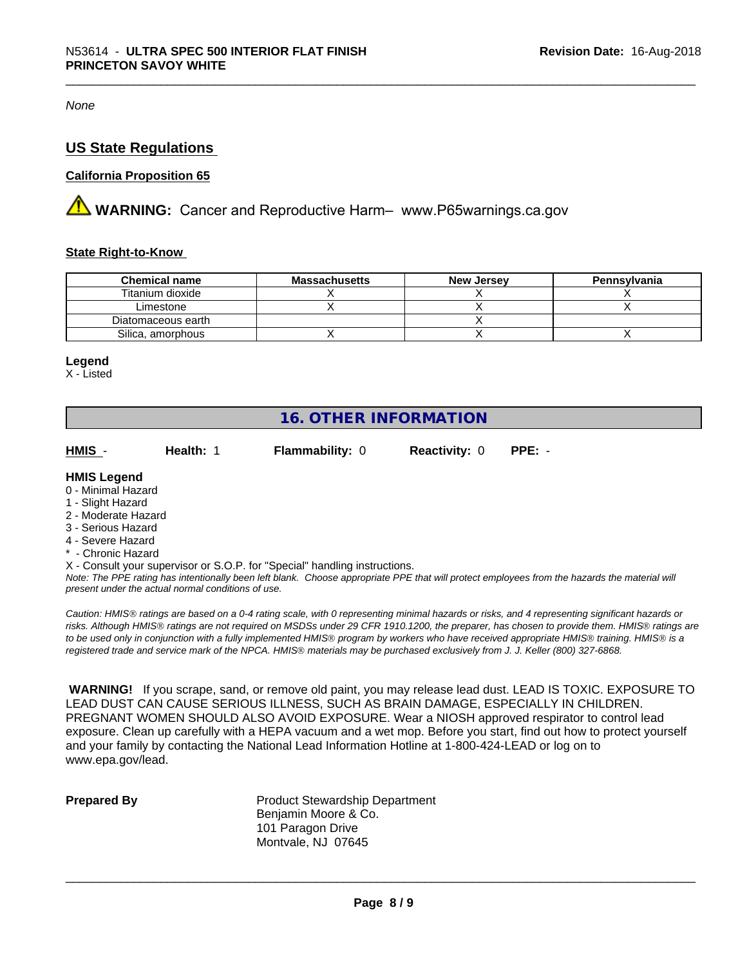*None*

#### **US State Regulations**

#### **California Proposition 65**

**WARNING:** Cancer and Reproductive Harm– www.P65warnings.ca.gov

#### **State Right-to-Know**

| <b>Chemical name</b> | <b>Massachusetts</b> | <b>New Jersey</b> | Pennsylvania |
|----------------------|----------------------|-------------------|--------------|
| Titanium dioxide     |                      |                   |              |
| Limestone            |                      |                   |              |
| Diatomaceous earth   |                      |                   |              |
| Silica, amorphous    |                      |                   |              |

#### **Legend**

X - Listed

## **16. OTHER INFORMATION**

| HMIS                | Health: 1 | <b>Flammability: 0</b> | <b>Reactivity: 0</b> | $PPE: -$ |  |
|---------------------|-----------|------------------------|----------------------|----------|--|
| <b>HMIS Legend</b>  |           |                        |                      |          |  |
| 0 - Minimal Hazard  |           |                        |                      |          |  |
| 1 - Slight Hazard   |           |                        |                      |          |  |
| 2 - Moderate Hazard |           |                        |                      |          |  |
| 3 - Serious Hazard  |           |                        |                      |          |  |

- 
- 4 Severe Hazard
- \* Chronic Hazard
- X Consult your supervisor or S.O.P. for "Special" handling instructions.

*Note: The PPE rating has intentionally been left blank. Choose appropriate PPE that will protect employees from the hazards the material will present under the actual normal conditions of use.*

*Caution: HMISÒ ratings are based on a 0-4 rating scale, with 0 representing minimal hazards or risks, and 4 representing significant hazards or risks. Although HMISÒ ratings are not required on MSDSs under 29 CFR 1910.1200, the preparer, has chosen to provide them. HMISÒ ratings are to be used only in conjunction with a fully implemented HMISÒ program by workers who have received appropriate HMISÒ training. HMISÒ is a registered trade and service mark of the NPCA. HMISÒ materials may be purchased exclusively from J. J. Keller (800) 327-6868.*

 **WARNING!** If you scrape, sand, or remove old paint, you may release lead dust. LEAD IS TOXIC. EXPOSURE TO LEAD DUST CAN CAUSE SERIOUS ILLNESS, SUCH AS BRAIN DAMAGE, ESPECIALLY IN CHILDREN. PREGNANT WOMEN SHOULD ALSO AVOID EXPOSURE.Wear a NIOSH approved respirator to control lead exposure. Clean up carefully with a HEPA vacuum and a wet mop. Before you start, find out how to protect yourself and your family by contacting the National Lead Information Hotline at 1-800-424-LEAD or log on to www.epa.gov/lead.

**Prepared By** Product Stewardship Department Benjamin Moore & Co. 101 Paragon Drive Montvale, NJ 07645